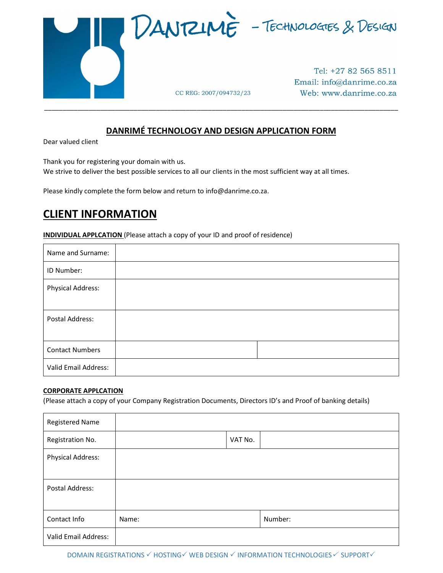

### DANRIMÉ TECHNOLOGY AND DESIGN APPLICATION FORM

\_\_\_\_\_\_\_\_\_\_\_\_\_\_\_\_\_\_\_\_\_\_\_\_\_\_\_\_\_\_\_\_\_\_\_\_\_\_\_\_\_\_\_\_\_\_\_\_\_\_\_\_\_\_\_\_\_\_\_\_\_\_\_\_\_\_\_\_\_\_\_\_\_\_\_\_\_\_\_\_\_\_\_\_\_\_\_\_\_\_\_\_\_\_\_

Dear valued client

Thank you for registering your domain with us.

We strive to deliver the best possible services to all our clients in the most sufficient way at all times.

Please kindly complete the form below and return to info@danrime.co.za.

## CLIENT INFORMATION

**INDIVIDUAL APPLCATION** (Please attach a copy of your ID and proof of residence)

| Name and Surname:        |  |
|--------------------------|--|
| ID Number:               |  |
| <b>Physical Address:</b> |  |
| Postal Address:          |  |
| <b>Contact Numbers</b>   |  |
| Valid Email Address:     |  |

### CORPORATE APPLCATION

(Please attach a copy of your Company Registration Documents, Directors ID's and Proof of banking details)

| <b>Registered Name</b>   |       |         |         |
|--------------------------|-------|---------|---------|
| Registration No.         |       | VAT No. |         |
| <b>Physical Address:</b> |       |         |         |
|                          |       |         |         |
| Postal Address:          |       |         |         |
|                          |       |         |         |
| Contact Info             | Name: |         | Number: |
| Valid Email Address:     |       |         |         |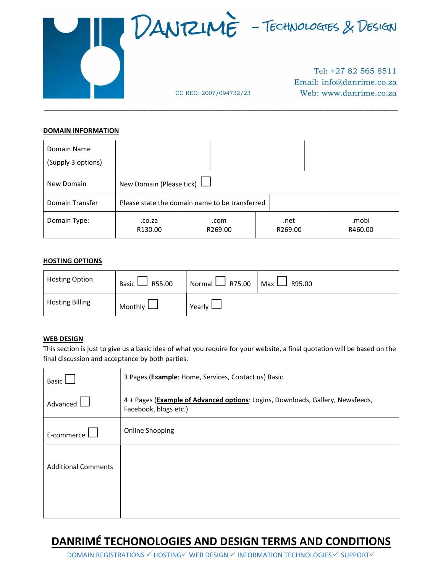

\_\_\_\_\_\_\_\_\_\_\_\_\_\_\_\_\_\_\_\_\_\_\_\_\_\_\_\_\_\_\_\_\_\_\_\_\_\_\_\_\_\_\_\_\_\_\_\_\_\_\_\_\_\_\_\_\_\_\_\_\_\_\_\_\_\_\_\_\_\_\_\_\_\_\_\_\_\_\_\_\_\_\_\_\_\_\_\_\_\_\_\_\_\_\_

### **DOMAIN INFORMATION**

| Domain Name        |                                                |                 |                 |                  |
|--------------------|------------------------------------------------|-----------------|-----------------|------------------|
| (Supply 3 options) |                                                |                 |                 |                  |
| New Domain         | New Domain (Please tick)                       |                 |                 |                  |
| Domain Transfer    | Please state the domain name to be transferred |                 |                 |                  |
| Domain Type:       | .co.za<br>R130.00                              | .com<br>R269.00 | .net<br>R269.00 | .mobi<br>R460.00 |

#### HOSTING OPTIONS

| <b>Hosting Option</b>  | R55.00<br>Basic L | $\Box$ R75.00<br>Normal L | R95.00<br>Max I |  |
|------------------------|-------------------|---------------------------|-----------------|--|
| <b>Hosting Billing</b> | Monthly $\Box$    | Yearly $\Box$             |                 |  |

### WEB DESIGN

This section is just to give us a basic idea of what you require for your website, a final quotation will be based on the final discussion and acceptance by both parties.

| 3 Pages (Example: Home, Services, Contact us) Basic                                                     |  |
|---------------------------------------------------------------------------------------------------------|--|
| 4 + Pages (Example of Advanced options: Logins, Downloads, Gallery, Newsfeeds,<br>Facebook, blogs etc.) |  |
| <b>Online Shopping</b>                                                                                  |  |
|                                                                                                         |  |
|                                                                                                         |  |

# DANRIMÉ TECHONOLOGIES AND DESIGN TERMS AND CONDITIONS

DOMAIN REGISTRATIONS V HOSTING V WEB DESIGN V INFORMATION TECHNOLOGIES V SUPPORT V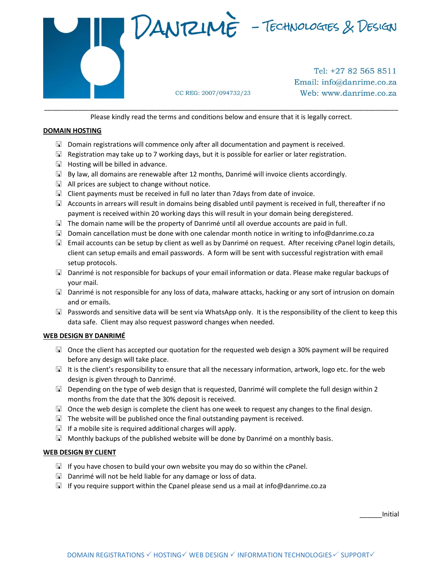

Please kindly read the terms and conditions below and ensure that it is legally correct.

### DOMAIN HOSTING

- $\Box$  Domain registrations will commence only after all documentation and payment is received.
- $\Box$  Registration may take up to 7 working days, but it is possible for earlier or later registration.
- $\Box$  Hosting will be billed in advance.
- $\boxdot$  By law, all domains are renewable after 12 months, Danrimé will invoice clients accordingly.
- $\Box$  All prices are subject to change without notice.
- $\Box$  Client payments must be received in full no later than 7 days from date of invoice.
- $\Box$  Accounts in arrears will result in domains being disabled until payment is received in full, thereafter if no payment is received within 20 working days this will result in your domain being deregistered.
- $\Box$  The domain name will be the property of Danrimé until all overdue accounts are paid in full.
- $\Box$  Domain cancellation must be done with one calendar month notice in writing to info@danrime.co.za
- Email accounts can be setup by client as well as by Danrimé on request. After receiving cPanel login details, client can setup emails and email passwords. A form will be sent with successful registration with email setup protocols.
- Danrimé is not responsible for backups of your email information or data. Please make regular backups of your mail.
- $\Box$  Danrimé is not responsible for any loss of data, malware attacks, hacking or any sort of intrusion on domain and or emails.
- $\Box$  Passwords and sensitive data will be sent via WhatsApp only. It is the responsibility of the client to keep this data safe. Client may also request password changes when needed.

### WEB DESIGN BY DANRIMÉ

- $\Box$  Once the client has accepted our quotation for the requested web design a 30% payment will be required before any design will take place.
- It is the client's responsibility to ensure that all the necessary information, artwork, logo etc. for the web design is given through to Danrimé.
- $\Box$  Depending on the type of web design that is requested, Danrimé will complete the full design within 2 months from the date that the 30% deposit is received.
- $\Box$  Once the web design is complete the client has one week to request any changes to the final design.
- $\Box$  The website will be published once the final outstanding payment is received.
- $\Box$  If a mobile site is required additional charges will apply.
- $\Box$  Monthly backups of the published website will be done by Danrimé on a monthly basis.

### WEB DESIGN BY CLIENT

- $\Box$  If you have chosen to build your own website you may do so within the cPanel.
- $\Box$  Danrimé will not be held liable for any damage or loss of data.
- $\Box$  If you require support within the Cpanel please send us a mail at info@danrime.co.za

\_\_\_\_\_\_Initial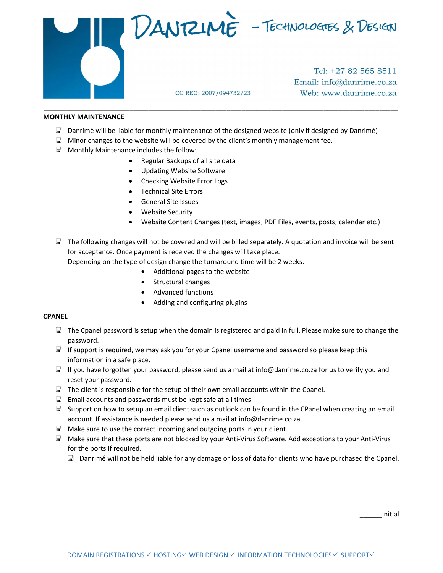

Tel: +27 82 565 8511 Email: info@danrime.co.za

Web: www.danrime.co.za

### MONTHLY MAINTENANCE

Danrimè will be liable for monthly maintenance of the designed website (only if designed by Danrimè)

CC REG: 2007/094732/23

- $\Box$  Minor changes to the website will be covered by the client's monthly management fee.
- Monthly Maintenance includes the follow:
	- Regular Backups of all site data
	- Updating Website Software
	- Checking Website Error Logs
	- Technical Site Errors
	- General Site Issues
	- Website Security
	- Website Content Changes (text, images, PDF Files, events, posts, calendar etc.)

\_\_\_\_\_\_\_\_\_\_\_\_\_\_\_\_\_\_\_\_\_\_\_\_\_\_\_\_\_\_\_\_\_\_\_\_\_\_\_\_\_\_\_\_\_\_\_\_\_\_\_\_\_\_\_\_\_\_\_\_\_\_\_\_\_\_\_\_\_\_\_\_\_\_\_\_\_\_\_\_\_\_\_\_\_\_\_\_\_\_\_\_\_\_\_

 $\Box$  The following changes will not be covered and will be billed separately. A quotation and invoice will be sent for acceptance. Once payment is received the changes will take place.

Depending on the type of design change the turnaround time will be 2 weeks.

- Additional pages to the website
- Structural changes
- Advanced functions
- Adding and configuring plugins

### CPANEL

- $\Box$  The Cpanel password is setup when the domain is registered and paid in full. Please make sure to change the password.
- $\Box$  If support is required, we may ask you for your Cpanel username and password so please keep this information in a safe place.
- If you have forgotten your password, please send us a mail at info@danrime.co.za for us to verify you and reset your password.
- The client is responsible for the setup of their own email accounts within the Cpanel.
- $\Box$  Email accounts and passwords must be kept safe at all times.
- Support on how to setup an email client such as outlook can be found in the CPanel when creating an email account. If assistance is needed please send us a mail at info@danrime.co.za.
- $\Box$  Make sure to use the correct incoming and outgoing ports in your client.
- Make sure that these ports are not blocked by your Anti-Virus Software. Add exceptions to your Anti-Virus for the ports if required.
	- $\Box$  Danrimé will not be held liable for any damage or loss of data for clients who have purchased the Cpanel.

\_\_\_\_\_\_Initial